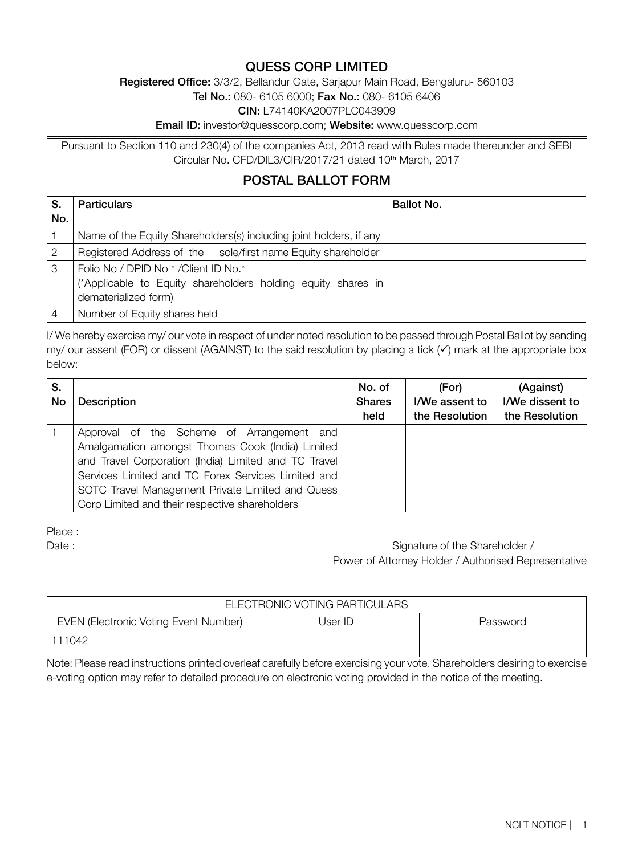## QUESS CORP LIMITED

Registered Office: 3/3/2, Bellandur Gate, Sarjapur Main Road, Bengaluru- 560103

Tel No.: 080- 6105 6000; Fax No.: 080- 6105 6406

CIN: L74140KA2007PLC043909

Email ID: investor@quesscorp.com; Website: www.quesscorp.com

Pursuant to Section 110 and 230(4) of the companies Act, 2013 read with Rules made thereunder and SEBI Circular No. CFD/DIL3/CIR/2017/21 dated 10<sup>th</sup> March, 2017

## POSTAL BALLOT FORM

| S.  | <b>Particulars</b>                                                                                                            | Ballot No. |
|-----|-------------------------------------------------------------------------------------------------------------------------------|------------|
| No. |                                                                                                                               |            |
|     | Name of the Equity Shareholders(s) including joint holders, if any                                                            |            |
|     | Registered Address of the sole/first name Equity shareholder                                                                  |            |
| 3   | Folio No / DPID No * / Client ID No.*<br>(*Applicable to Equity shareholders holding equity shares in<br>dematerialized form) |            |
|     | Number of Equity shares held                                                                                                  |            |

I/ We hereby exercise my/ our vote in respect of under noted resolution to be passed through Postal Ballot by sending my/ our assent (FOR) or dissent (AGAINST) to the said resolution by placing a tick  $(\checkmark)$  mark at the appropriate box below:

| S.<br>No | <b>Description</b>                                                                                                                                                                                                                                                                                                | No. of<br><b>Shares</b><br>held | (For)<br>I/We assent to<br>the Resolution | (Against)<br>I/We dissent to<br>the Resolution |
|----------|-------------------------------------------------------------------------------------------------------------------------------------------------------------------------------------------------------------------------------------------------------------------------------------------------------------------|---------------------------------|-------------------------------------------|------------------------------------------------|
|          | Approval of the Scheme of Arrangement and<br>Amalgamation amongst Thomas Cook (India) Limited<br>and Travel Corporation (India) Limited and TC Travel<br>Services Limited and TC Forex Services Limited and<br>SOTC Travel Management Private Limited and Quess<br>Corp Limited and their respective shareholders |                                 |                                           |                                                |

Place :

Date : Signature of the Shareholder / Power of Attorney Holder / Authorised Representative

| ELECTRONIC VOTING PARTICULARS                |         |          |  |  |  |  |
|----------------------------------------------|---------|----------|--|--|--|--|
| <b>EVEN (Electronic Voting Event Number)</b> | User ID | Password |  |  |  |  |
| 111042                                       |         |          |  |  |  |  |

Note: Please read instructions printed overleaf carefully before exercising your vote. Shareholders desiring to exercise e-voting option may refer to detailed procedure on electronic voting provided in the notice of the meeting.